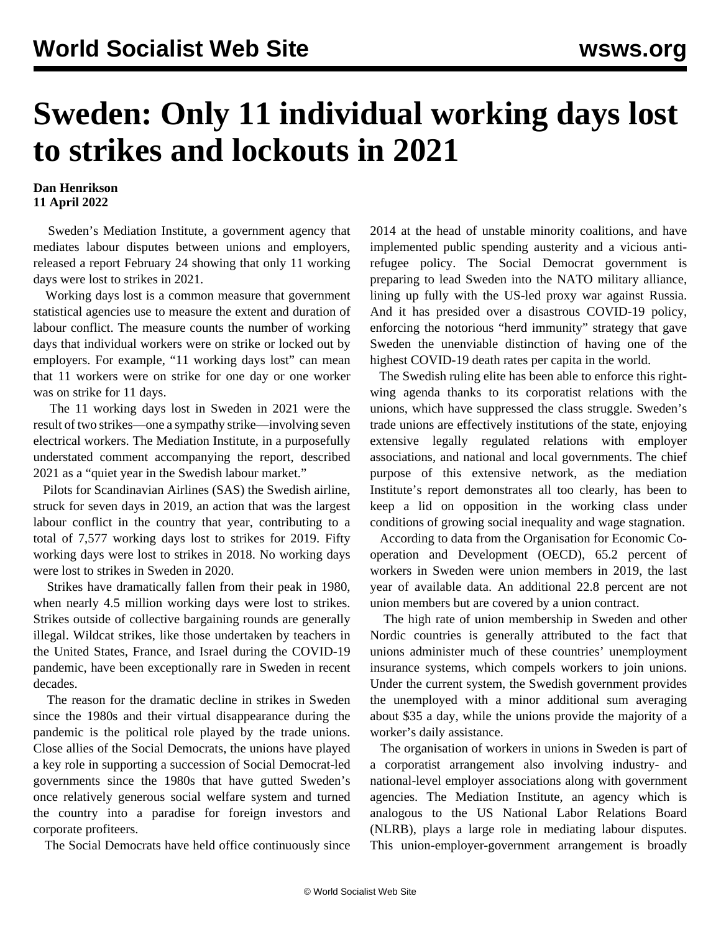## **Sweden: Only 11 individual working days lost to strikes and lockouts in 2021**

## **Dan Henrikson 11 April 2022**

 Sweden's Mediation Institute, a government agency that mediates labour disputes between unions and employers, released a report February 24 showing that only 11 working days were lost to strikes in 2021.

 Working days lost is a common measure that government statistical agencies use to measure the extent and duration of labour conflict. The measure counts the number of working days that individual workers were on strike or locked out by employers. For example, "11 working days lost" can mean that 11 workers were on strike for one day or one worker was on strike for 11 days.

 The 11 working days lost in Sweden in 2021 were the result of two strikes—one a sympathy strike—involving seven electrical workers. The Mediation Institute, in a purposefully understated comment accompanying the report, described 2021 as a "quiet year in the Swedish labour market."

 Pilots for Scandinavian Airlines (SAS) the Swedish airline, struck for seven days in 2019, an action that was the largest labour conflict in the country that year, contributing to a total of 7,577 working days lost to strikes for 2019. Fifty working days were lost to strikes in 2018. No working days were lost to strikes in Sweden in 2020.

 Strikes have dramatically fallen from their peak in 1980, when nearly 4.5 million working days were lost to strikes. Strikes outside of collective bargaining rounds are generally illegal. Wildcat strikes, like those undertaken by teachers in the United States, France, and Israel during the COVID-19 pandemic, have been exceptionally rare in Sweden in recent decades.

 The reason for the dramatic decline in strikes in Sweden since the 1980s and their virtual disappearance during the pandemic is the political role played by the trade unions. Close allies of the Social Democrats, the unions have played a key role in supporting a succession of Social Democrat-led governments since the 1980s that have gutted Sweden's once relatively generous social welfare system and turned the country into a paradise for foreign investors and corporate profiteers.

The Social Democrats have held office continuously since

2014 at the head of unstable minority coalitions, and have implemented public spending austerity and a vicious antirefugee policy. The Social Democrat government is preparing to lead Sweden into the NATO military alliance, lining up fully with the US-led proxy war against Russia. And it has presided over a disastrous COVID-19 policy, enforcing the notorious "herd immunity" strategy that gave Sweden the unenviable distinction of having one of the highest COVID-19 death rates per capita in the world.

 The Swedish ruling elite has been able to enforce this rightwing agenda thanks to its corporatist relations with the unions, which have suppressed the class struggle. Sweden's trade unions are effectively institutions of the state, enjoying extensive legally regulated relations with employer associations, and national and local governments. The chief purpose of this extensive network, as the mediation Institute's report demonstrates all too clearly, has been to keep a lid on opposition in the working class under conditions of growing social inequality and wage stagnation.

 According to data from the Organisation for Economic Cooperation and Development (OECD), 65.2 percent of workers in Sweden were union members in 2019, the last year of available data. An additional 22.8 percent are not union members but are covered by a union contract.

 The high rate of union membership in Sweden and other Nordic countries is generally attributed to the fact that unions administer much of these countries' unemployment insurance systems, which compels workers to join unions. Under the current system, the Swedish government provides the unemployed with a minor additional sum averaging about \$35 a day, while the unions provide the majority of a worker's daily assistance.

 The organisation of workers in unions in Sweden is part of a corporatist arrangement also involving industry- and national-level employer associations along with government agencies. The Mediation Institute, an agency which is analogous to the US National Labor Relations Board (NLRB), plays a large role in mediating labour disputes. This union-employer-government arrangement is broadly